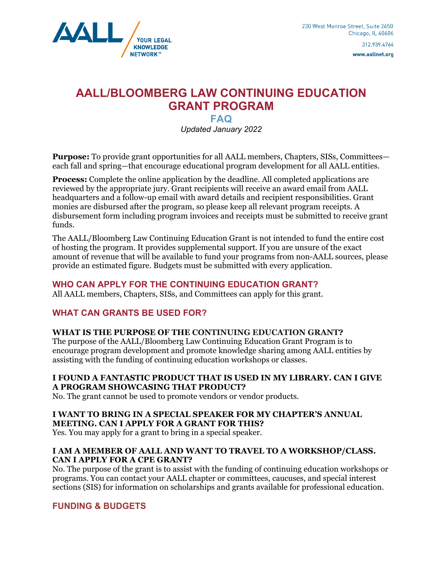

www.aallnet.org

# **AALL/BLOOMBERG LAW CONTINUING EDUCATION GRANT PROGRAM**

## **FAQ**  *Updated January 2022*

**Purpose:** To provide grant opportunities for all AALL members, Chapters, SISs, Committees each fall and spring—that encourage educational program development for all AALL entities.

**Process:** Complete the online application by the deadline. All completed applications are reviewed by the appropriate jury. Grant recipients will receive an award email from AALL headquarters and a follow-up email with award details and recipient responsibilities. Grant monies are disbursed after the program, so please keep all relevant program receipts. A disbursement form including program invoices and receipts must be submitted to receive grant funds.

The AALL/Bloomberg Law Continuing Education Grant is not intended to fund the entire cost of hosting the program. It provides supplemental support. If you are unsure of the exact amount of revenue that will be available to fund your programs from non-AALL sources, please provide an estimated figure. Budgets must be submitted with every application.

## **WHO CAN APPLY FOR THE CONTINUING EDUCATION GRANT?**

All AALL members, Chapters, SISs, and Committees can apply for this grant.

## **WHAT CAN GRANTS BE USED FOR?**

## **WHAT IS THE PURPOSE OF THE CONTINUING EDUCATION GRANT?**

The purpose of the AALL/Bloomberg Law Continuing Education Grant Program is to encourage program development and promote knowledge sharing among AALL entities by assisting with the funding of continuing education workshops or classes.

#### **I FOUND A FANTASTIC PRODUCT THAT IS USED IN MY LIBRARY. CAN I GIVE A PROGRAM SHOWCASING THAT PRODUCT?**

No. The grant cannot be used to promote vendors or vendor products.

#### **I WANT TO BRING IN A SPECIAL SPEAKER FOR MY CHAPTER'S ANNUAL MEETING. CAN I APPLY FOR A GRANT FOR THIS?**

Yes. You may apply for a grant to bring in a special speaker.

#### **I AM A MEMBER OF AALL AND WANT TO TRAVEL TO A WORKSHOP/CLASS. CAN I APPLY FOR A CPE GRANT?**

No. The purpose of the grant is to assist with the funding of continuing education workshops or programs. You can contact your AALL chapter or committees, caucuses, and special interest sections (SIS) for information on scholarships and grants available for professional education.

## **FUNDING & BUDGETS**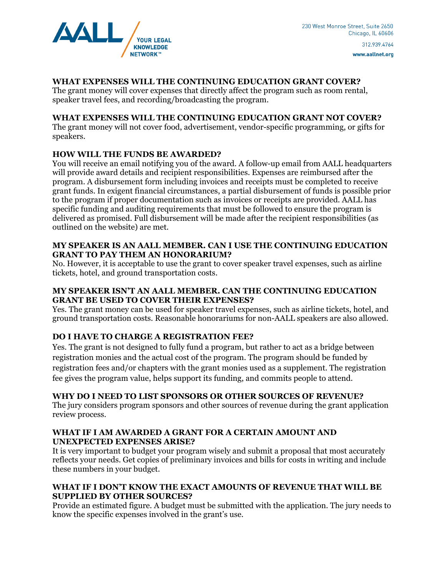

www.aallnet.org

### **WHAT EXPENSES WILL THE CONTINUING EDUCATION GRANT COVER?**

The grant money will cover expenses that directly affect the program such as room rental, speaker travel fees, and recording/broadcasting the program.

#### **WHAT EXPENSES WILL THE CONTINUING EDUCATION GRANT NOT COVER?**

The grant money will not cover food, advertisement, vendor-specific programming, or gifts for speakers.

#### **HOW WILL THE FUNDS BE AWARDED?**

You will receive an email notifying you of the award. A follow-up email from AALL headquarters will provide award details and recipient responsibilities. Expenses are reimbursed after the program. A disbursement form including invoices and receipts must be completed to receive grant funds. In exigent financial circumstances, a partial disbursement of funds is possible prior to the program if proper documentation such as invoices or receipts are provided. AALL has specific funding and auditing requirements that must be followed to ensure the program is delivered as promised. Full disbursement will be made after the recipient responsibilities (as outlined on the website) are met.

#### **MY SPEAKER IS AN AALL MEMBER. CAN I USE THE CONTINUING EDUCATION GRANT TO PAY THEM AN HONORARIUM?**

No. However, it is acceptable to use the grant to cover speaker travel expenses, such as airline tickets, hotel, and ground transportation costs.

#### **MY SPEAKER ISN'T AN AALL MEMBER. CAN THE CONTINUING EDUCATION GRANT BE USED TO COVER THEIR EXPENSES?**

Yes. The grant money can be used for speaker travel expenses, such as airline tickets, hotel, and ground transportation costs. Reasonable honorariums for non-AALL speakers are also allowed.

## **DO I HAVE TO CHARGE A REGISTRATION FEE?**

Yes. The grant is not designed to fully fund a program, but rather to act as a bridge between registration monies and the actual cost of the program. The program should be funded by registration fees and/or chapters with the grant monies used as a supplement. The registration fee gives the program value, helps support its funding, and commits people to attend.

#### **WHY DO I NEED TO LIST SPONSORS OR OTHER SOURCES OF REVENUE?**

The jury considers program sponsors and other sources of revenue during the grant application review process.

#### **WHAT IF I AM AWARDED A GRANT FOR A CERTAIN AMOUNT AND UNEXPECTED EXPENSES ARISE?**

It is very important to budget your program wisely and submit a proposal that most accurately reflects your needs. Get copies of preliminary invoices and bills for costs in writing and include these numbers in your budget.

#### **WHAT IF I DON'T KNOW THE EXACT AMOUNTS OF REVENUE THAT WILL BE SUPPLIED BY OTHER SOURCES?**

Provide an estimated figure. A budget must be submitted with the application. The jury needs to know the specific expenses involved in the grant's use.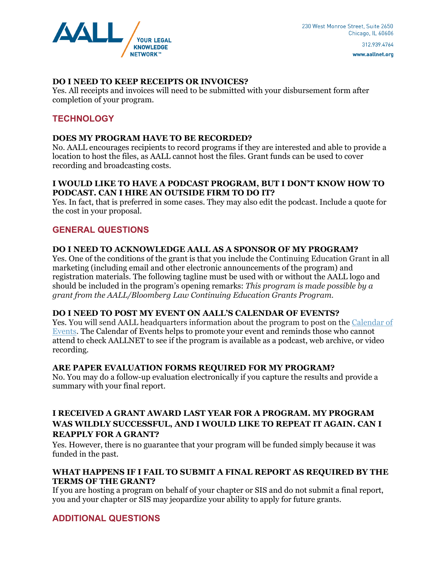

**DO I NEED TO KEEP RECEIPTS OR INVOICES?**  Yes. All receipts and invoices will need to be submitted with your disbursement form after completion of your program.

## **TECHNOLOGY**

#### **DOES MY PROGRAM HAVE TO BE RECORDED?**

No. AALL encourages recipients to record programs if they are interested and able to provide a location to host the files, as AALL cannot host the files. Grant funds can be used to cover recording and broadcasting costs.

#### **I WOULD LIKE TO HAVE A PODCAST PROGRAM, BUT I DON'T KNOW HOW TO PODCAST. CAN I HIRE AN OUTSIDE FIRM TO DO IT?**

Yes. In fact, that is preferred in some cases. They may also edit the podcast. Include a quote for the cost in your proposal.

#### **GENERAL QUESTIONS**

#### **DO I NEED TO ACKNOWLEDGE AALL AS A SPONSOR OF MY PROGRAM?**

Yes. One of the conditions of the grant is that you include the Continuing Education Grant in all marketing (including email and other electronic announcements of the program) and registration materials. The following tagline must be used with or without the AALL logo and should be included in the program's opening remarks: *This program is made possible by a grant from the AALL/Bloomberg Law Continuing Education Grants Program.* 

#### **DO I NEED TO POST MY EVENT ON AALL'S CALENDAR OF EVENTS?**

Yes. You will send AALL headquarters information about the program to post on the Calendar of Events. The Calendar of Events helps to promote your event and reminds those who cannot attend to check AALLNET to see if the program is available as a podcast, web archive, or video recording.

#### **ARE PAPER EVALUATION FORMS REQUIRED FOR MY PROGRAM?**

No. You may do a follow-up evaluation electronically if you capture the results and provide a summary with your final report.

#### **I RECEIVED A GRANT AWARD LAST YEAR FOR A PROGRAM. MY PROGRAM WAS WILDLY SUCCESSFUL, AND I WOULD LIKE TO REPEAT IT AGAIN. CAN I REAPPLY FOR A GRANT?**

Yes. However, there is no guarantee that your program will be funded simply because it was funded in the past.

#### **WHAT HAPPENS IF I FAIL TO SUBMIT A FINAL REPORT AS REQUIRED BY THE TERMS OF THE GRANT?**

If you are hosting a program on behalf of your chapter or SIS and do not submit a final report, you and your chapter or SIS may jeopardize your ability to apply for future grants.

#### **ADDITIONAL QUESTIONS**